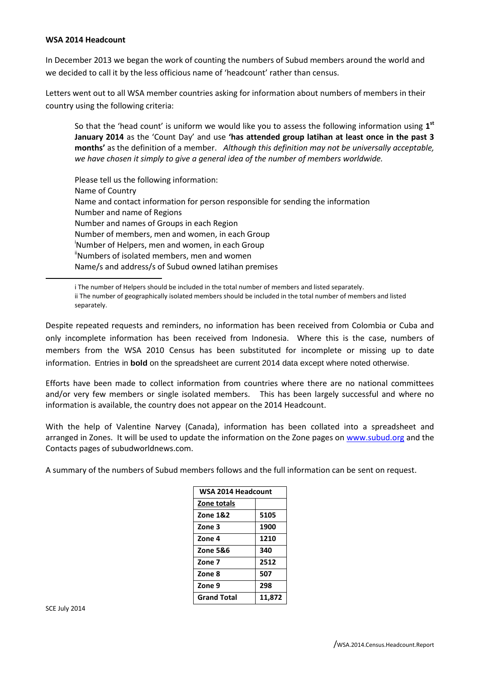## **WSA 2014 Headcount**

In December 2013 we began the work of counting the numbers of Subud members around the world and we decided to call it by the less officious name of 'headcount' rather than census.

Letters went out to all WSA member countries asking for information about numbers of members in their country using the following criteria:

So that the 'head count' is uniform we would like you to assess the following information using 1<sup>st</sup> **January 2014** as the 'Count Day' and use **'has attended group latihan at least once in the past 3 months'** as the definition of a member. *Although this definition may not be universally acceptable, we have chosen it simply to give a general idea of the number of members worldwide.* 

Please tell us the following information: Name of Country Name and contact information for person responsible for sending the information Number and name of Regions Number and names of Groups in each Region Number of members, men and women, in each Group <sup>i</sup>Number of Helpers, men and women, in each Group "Numbers of isolated members, men and women Name/s and address/s of Subud owned latihan premises

Despite repeated requests and reminders, no information has been received from Colombia or Cuba and only incomplete information has been received from Indonesia. Where this is the case, numbers of members from the WSA 2010 Census has been substituted for incomplete or missing up to date information. Entries in **bold** on the spreadsheet are current 2014 data except where noted otherwise.

Efforts have been made to collect information from countries where there are no national committees and/or very few members or single isolated members. This has been largely successful and where no information is available, the country does not appear on the 2014 Headcount.

With the help of Valentine Narvey (Canada), information has been collated into a spreadsheet and arranged in Zones. It will be used to update the information on the Zone pages on [www.subud.org](http://www.subud.org/) and the Contacts pages of subudworldnews.com.

A summary of the numbers of Subud members follows and the full information can be sent on request.

| WSA 2014 Headcount  |        |
|---------------------|--------|
| Zone totals         |        |
| <b>Zone 1&amp;2</b> | 5105   |
| Zone 3              | 1900   |
| Zone 4              | 1210   |
| Zone 5&6            | 340    |
| Zone 7              | 2512   |
| Zone 8              | 507    |
| Zone 9              | 298    |
| <b>Grand Total</b>  | 11.872 |

1

i The number of Helpers should be included in the total number of members and listed separately. ii The number of geographically isolated members should be included in the total number of members and listed separately.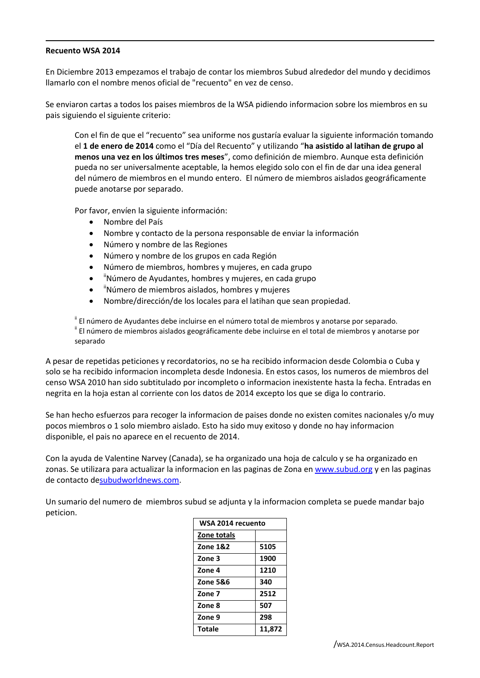## **Recuento WSA 2014**

**.** 

En Diciembre 2013 empezamos el trabajo de contar los miembros Subud alrededor del mundo y decidimos llamarlo con el nombre menos oficial de "recuento" en vez de censo.

Se enviaron cartas a todos los paises miembros de la WSA pidiendo informacion sobre los miembros en su pais siguiendo el siguiente criterio:

Con el fin de que el "recuento" sea uniforme nos gustaría evaluar la siguiente información tomando el **1 de enero de 2014** como el "Día del Recuento" y utilizando "**ha asistido al latihan de grupo al menos una vez en los últimos tres meses**", como definición de miembro. Aunque esta definición pueda no ser universalmente aceptable, la hemos elegido solo con el fin de dar una idea general del número de miembros en el mundo entero.El número de miembros aislados geográficamente puede anotarse por separado.

Por favor, envíen la siguiente información:

- Nombre del País
- Nombre y contacto de la persona responsable de enviar la información
- Número y nombre de las Regiones
- Número y nombre de los grupos en cada Región
- Número de miembros, hombres y mujeres, en cada grupo
- $\bullet$ "Número de Ayudantes, hombres y mujeres, en cada grupo
- $\bullet$ "Número de miembros aislados, hombres y mujeres
- Nombre/dirección/de los locales para el latihan que sean propiedad.

ii El número de Ayudantes debe incluirse en el número total de miembros y anotarse por separado. ii El número de miembros aislados geográficamente debe incluirse en el total de miembros y anotarse por separado

A pesar de repetidas peticiones y recordatorios, no se ha recibido informacion desde Colombia o Cuba y solo se ha recibido informacion incompleta desde Indonesia. En estos casos, los numeros de miembros del censo WSA 2010 han sido subtitulado por incompleto o informacion inexistente hasta la fecha. Entradas en negrita en la hoja estan al corriente con los datos de 2014 excepto los que se diga lo contrario.

Se han hecho esfuerzos para recoger la informacion de paises donde no existen comites nacionales y/o muy pocos miembros o 1 solo miembro aislado. Esto ha sido muy exitoso y donde no hay informacion disponible, el pais no aparece en el recuento de 2014.

Con la ayuda de Valentine Narvey (Canada), se ha organizado una hoja de calculo y se ha organizado en zonas. Se utilizara para actualizar la informacion en las paginas de Zona en [www.subud.org](http://www.subud.org/) y en las paginas de contacto d[esubudworldnews.com.](http://subudworldnews.com/)

Un sumario del numero de miembros subud se adjunta y la informacion completa se puede mandar bajo peticion.

| WSA 2014 recuento   |        |
|---------------------|--------|
| Zone totals         |        |
| <b>Zone 1&amp;2</b> | 5105   |
| Zone 3              | 1900   |
| Zone 4              | 1210   |
| <b>Zone 5&amp;6</b> | 340    |
| Zone 7              | 2512   |
| Zone 8              | 507    |
| Zone 9              | 298    |
| Totale              | 11,872 |